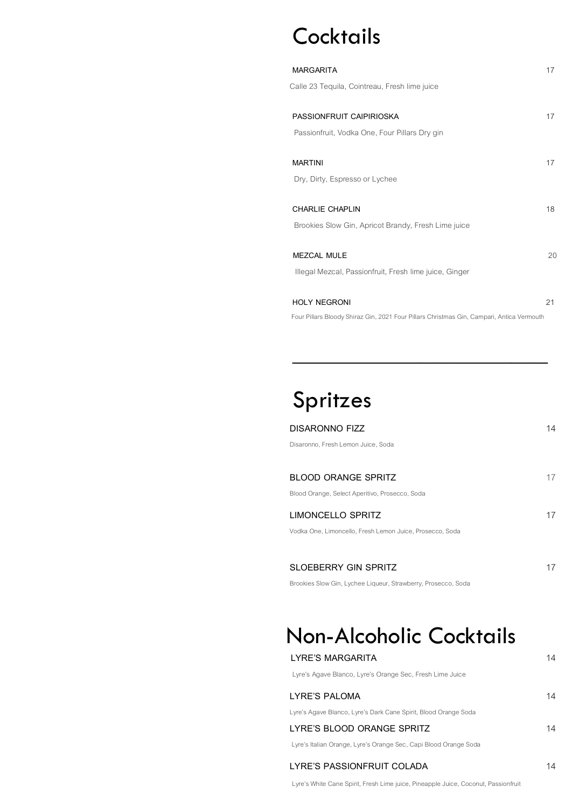# **Cocktails**

| <b>MARGARITA</b>                                                                          | 17 |
|-------------------------------------------------------------------------------------------|----|
| Calle 23 Tequila, Cointreau, Fresh lime juice                                             |    |
|                                                                                           |    |
| PASSIONFRUIT CAIPIRIOSKA                                                                  | 17 |
| Passionfruit, Vodka One, Four Pillars Dry gin                                             |    |
| <b>MARTINI</b>                                                                            | 17 |
| Dry, Dirty, Espresso or Lychee                                                            |    |
|                                                                                           |    |
| CHARLIE CHAPLIN                                                                           | 18 |
| Brookies Slow Gin, Apricot Brandy, Fresh Lime juice                                       |    |
|                                                                                           |    |
| MEZCAL MULE                                                                               | 20 |
| Illegal Mezcal, Passionfruit, Fresh lime juice, Ginger                                    |    |
| <b>HOLY NEGRONI</b>                                                                       | 21 |
| Four Pillars Bloody Shiraz Gin, 2021 Four Pillars Christmas Gin, Campari, Antica Vermouth |    |

# Spritzes

| DISARONNO FIZZ                                           | 14 |
|----------------------------------------------------------|----|
| Disaronno, Fresh Lemon Juice, Soda                       |    |
|                                                          |    |
| <b>BLOOD ORANGE SPRITZ</b>                               |    |
| Blood Orange, Select Aperitivo, Prosecco, Soda           |    |
| LIMONCELLO SPRITZ                                        |    |
| Vodka One, Limoncello, Fresh Lemon Juice, Prosecco, Soda |    |
|                                                          |    |
| <b>SLOEBERRY GIN SPRITZ</b>                              |    |

**\_\_\_\_\_\_\_\_\_\_\_\_\_\_\_\_\_\_\_\_\_\_\_\_\_\_\_\_**

Brookies Slow Gin, Lychee Liqueur, Strawberry, Prosecco, Soda

# Non-Alcoholic Cocktails

| LYRE'S MARGARITA                                                 | 14 |
|------------------------------------------------------------------|----|
| Lyre's Agave Blanco, Lyre's Orange Sec, Fresh Lime Juice         |    |
| LYRE'S PALOMA                                                    | 14 |
| Lyre's Agave Blanco, Lyre's Dark Cane Spirit, Blood Orange Soda  |    |
| LYRE'S BLOOD ORANGE SPRITZ                                       | 14 |
| Lyre's Italian Orange, Lyre's Orange Sec, Capi Blood Orange Soda |    |
|                                                                  |    |

# **LYRE'S PASSIONFRUIT COLADA** 14

Lyre's White Cane Spirit, Fresh Lime juice, Pineapple Juice, Coconut, Passionfruit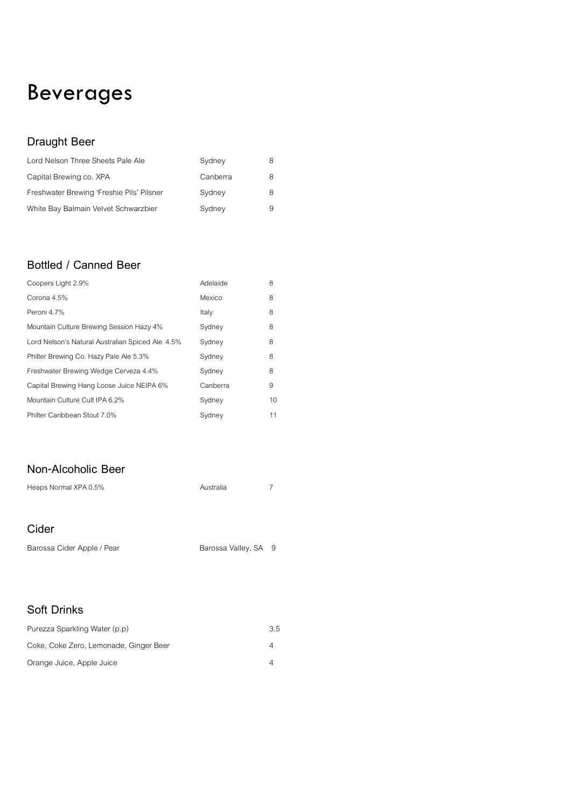# Beverages

## **Draught Beer**

| Lord Nelson Three Sheets Pale Ale         | Sydney   | 8 |
|-------------------------------------------|----------|---|
| Capital Brewing co. XPA                   | Canberra | 8 |
| Freshwater Brewing 'Freshie Pils' Pilsner | Sydney   | 8 |
| White Bay Balmain Velvet Schwarzbier      | Sydney   | 9 |

#### **Bottled / Canned Beer**

| Coopers Light 2.9%                               | Adelaide | 8  |
|--------------------------------------------------|----------|----|
| Corona 4.5%                                      | Mexico   | 8  |
| Peroni 4.7%                                      | Italy    | 8  |
| Mountain Culture Brewing Session Hazy 4%         | Sydney   | 8  |
| Lord Nelson's Natural Australian Spiced Ale 4.5% | Sydney   | 8  |
| Philter Brewing Co. Hazy Pale Ale 5.3%           | Sydney   | 8  |
| Freshwater Brewing Wedge Cerveza 4.4%            | Sydney   | 8  |
| Capital Brewing Hang Loose Juice NEIPA 6%        | Canberra | 9  |
| Mountain Culture Cult IPA 6.2%                   | Sydney   | 10 |
| Philter Caribbean Stout 7.0%                     | Sydney   | 11 |

#### **Non-Alcoholic Beer**

| Heaps Normal XPA 0.5%      | Australia            |  |
|----------------------------|----------------------|--|
| Cider                      |                      |  |
| Barossa Cider Apple / Pear | Barossa Valley, SA 9 |  |

#### **Soft Drinks**

| Purezza Sparkling Water (p.p)          | 3.5 |
|----------------------------------------|-----|
| Coke, Coke Zero, Lemonade, Ginger Beer |     |
| Orange Juice, Apple Juice              |     |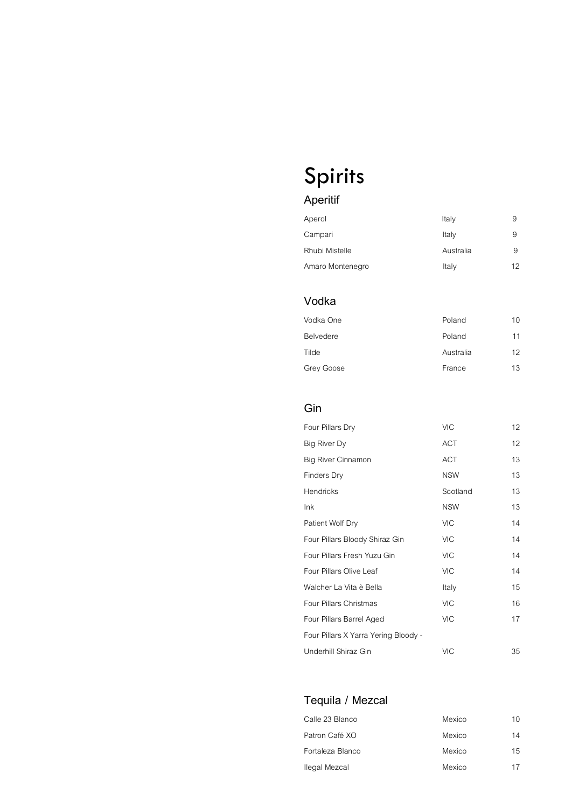# Spirits

# **Aperitif**

| Aperol           | Italy     | 9  |
|------------------|-----------|----|
| Campari          | Italy     | 9  |
| Rhubi Mistelle   | Australia | 9  |
| Amaro Montenegro | Italy     | 12 |

## **Vodka**

| Vodka One  | Poland    | 10 |
|------------|-----------|----|
| Belvedere  | Poland    | 11 |
| Tilde      | Australia | 12 |
| Grey Goose | France    | 13 |

#### **Gin**

| Four Pillars Dry                     | <b>VIC</b> | 12 |
|--------------------------------------|------------|----|
| Big River Dy                         | <b>ACT</b> | 12 |
| <b>Big River Cinnamon</b>            | <b>ACT</b> | 13 |
| <b>Finders Dry</b>                   | <b>NSW</b> | 13 |
| Hendricks                            | Scotland   | 13 |
| Ink                                  | <b>NSW</b> | 13 |
| Patient Wolf Dry                     | <b>VIC</b> | 14 |
| Four Pillars Bloody Shiraz Gin       | <b>VIC</b> | 14 |
| Four Pillars Fresh Yuzu Gin          | <b>VIC</b> | 14 |
| Four Pillars Olive Leaf              | <b>VIC</b> | 14 |
| Walcher La Vita è Bella              | Italy      | 15 |
| Four Pillars Christmas               | <b>VIC</b> | 16 |
| Four Pillars Barrel Aged             | <b>VIC</b> | 17 |
| Four Pillars X Yarra Yering Bloody - |            |    |
| Underhill Shiraz Gin                 | <b>VIC</b> | 35 |

## **Tequila / Mezcal**

| Calle 23 Blanco  | Mexico | 10 <sup>1</sup> |
|------------------|--------|-----------------|
| Patron Café XO   | Mexico | 14              |
| Fortaleza Blanco | Mexico | 15              |
| Ilegal Mezcal    | Mexico | 17              |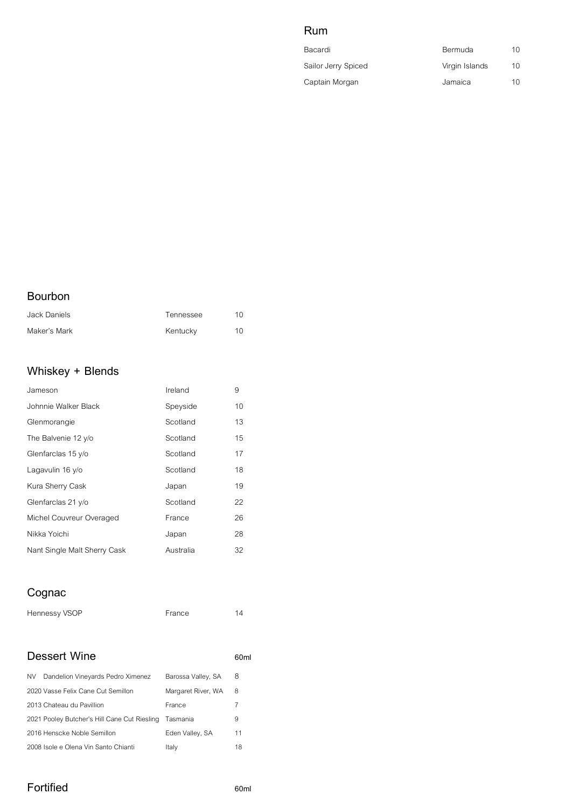# *Rum Rum and the Rum Rum Rum Rum Rum and the Rum Rum Rum Rum Rum and the Rum Rum Rum Rum Rum*  $\frac{1}{2}$

| Bacardi             | Bermuda        | 10 |
|---------------------|----------------|----|
| Sailor Jerry Spiced | Virgin Islands | 10 |
| Captain Morgan      | Jamaica        | 10 |

#### **Bourbon**

| Jack Daniels | Tennessee | $1 \cap$ |
|--------------|-----------|----------|
| Maker's Mark | Kentucky  | 10       |

## **Whiskey + Blends**

| Jameson                      | Ireland   | 9  |
|------------------------------|-----------|----|
| Johnnie Walker Black         | Speyside  | 10 |
| Glenmorangie                 | Scotland  | 13 |
| The Balvenie 12 y/o          | Scotland  | 15 |
| Glenfarclas 15 y/o           | Scotland  | 17 |
| Lagavulin 16 y/o             | Scotland  | 18 |
| Kura Sherry Cask             | Japan     | 19 |
| Glenfarclas 21 y/o           | Scotland  | 22 |
| Michel Couvreur Overaged     | France    | 26 |
| Nikka Yoichi                 | Japan     | 28 |
| Nant Single Malt Sherry Cask | Australia | 32 |

# **Cognac**

| Hennessy VSOP | France |  |
|---------------|--------|--|
|               |        |  |

#### **Dessert Wine** *60ml*

| NV. | Dandelion Vineyards Pedro Ximenez            | Barossa Valley, SA | 8          |
|-----|----------------------------------------------|--------------------|------------|
|     | 2020 Vasse Felix Cane Cut Semillon           | Margaret River, WA | 8          |
|     | 2013 Chateau du Pavillion                    | France             | $\sqrt{2}$ |
|     | 2021 Pooley Butcher's Hill Cane Cut Riesling | Tasmania           | 9          |
|     | 2016 Henscke Noble Semillon                  | Eden Valley, SA    | 11         |
|     | 2008 Isole e Olena Vin Santo Chianti         | Italy              | 18         |

#### **Fortified 60ml**